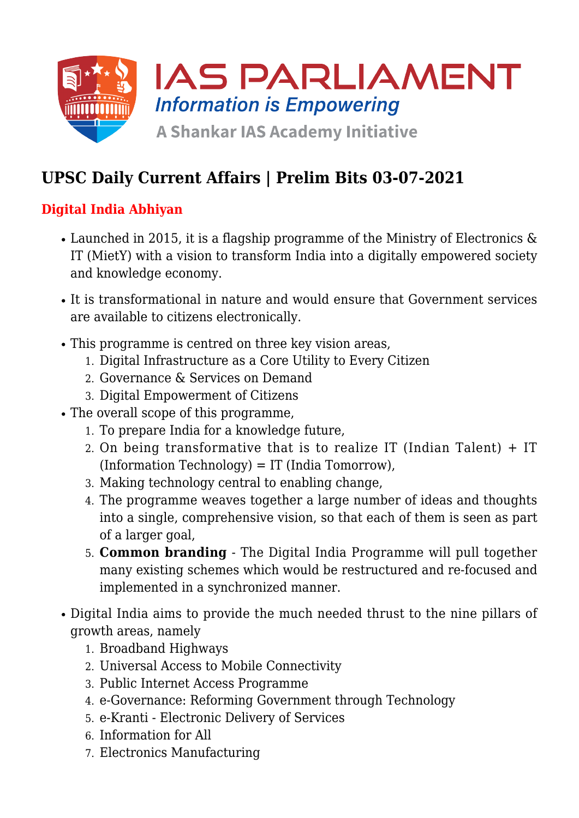

# **UPSC Daily Current Affairs | Prelim Bits 03-07-2021**

### **Digital India Abhiyan**

- Launched in 2015, it is a flagship programme of the Ministry of Electronics  $\&$ IT (MietY) with a vision to transform India into a digitally empowered society and knowledge economy.
- It is transformational in nature and would ensure that Government services are available to citizens electronically.
- This programme is centred on three key vision areas,
	- 1. Digital Infrastructure as a Core Utility to Every Citizen
	- 2. Governance & Services on Demand
	- 3. Digital Empowerment of Citizens
- The overall scope of this programme,
	- 1. To prepare India for a knowledge future,
	- 2. On being transformative that is to realize IT (Indian Talent) + IT  $(Information Technology) = IT (India Tomorrow),$
	- 3. Making technology central to enabling change,
	- 4. The programme weaves together a large number of ideas and thoughts into a single, comprehensive vision, so that each of them is seen as part of a larger goal,
	- 5. **Common branding** The Digital India Programme will pull together many existing schemes which would be restructured and re-focused and implemented in a synchronized manner.
- Digital India aims to provide the much needed thrust to the nine pillars of growth areas, namely
	- 1. Broadband Highways
	- 2. Universal Access to Mobile Connectivity
	- 3. Public Internet Access Programme
	- 4. e-Governance: Reforming Government through Technology
	- 5. e-Kranti Electronic Delivery of Services
	- 6. Information for All
	- 7. Electronics Manufacturing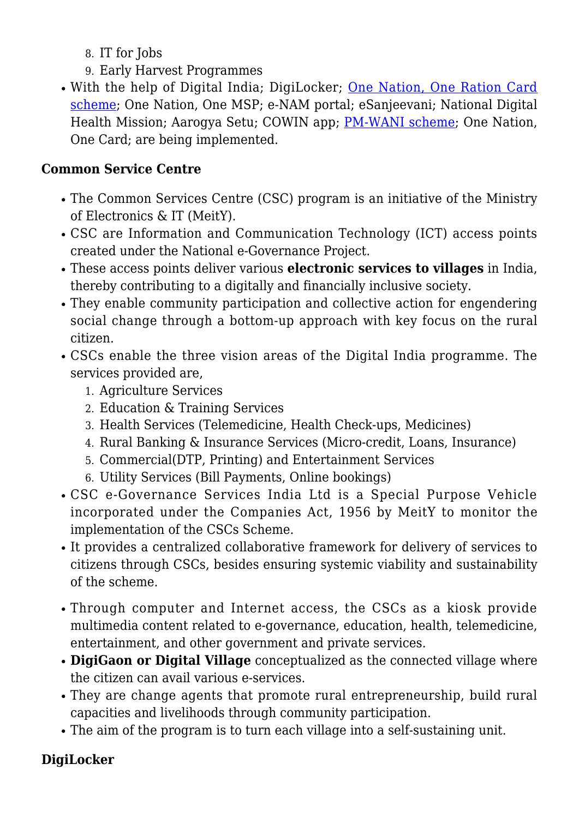- 8. IT for Jobs
- 9. Early Harvest Programmes
- With the help of Digital India; DigiLocker; [One Nation, One Ration Card](https://www.iasparliament.com/current-affairs/upsc-daily-current-affairs-prelim-bits-08-02-2021) [scheme;](https://www.iasparliament.com/current-affairs/upsc-daily-current-affairs-prelim-bits-08-02-2021) One Nation, One MSP; e-NAM portal; eSanjeevani; National Digital Health Mission; Aarogya Setu; COWIN app; [PM-WANI scheme](https://www.iasparliament.com/current-affairs/upsc-daily-current-affairs-prelim-bits-10-12-2020); One Nation, One Card; are being implemented.

#### **Common Service Centre**

- The Common Services Centre (CSC) program is an initiative of the Ministry of Electronics & IT (MeitY).
- CSC are Information and Communication Technology (ICT) access points created under the National e-Governance Project.
- These access points deliver various **electronic services to villages** in India, thereby contributing to a digitally and financially inclusive society.
- They enable community participation and collective action for engendering social change through a bottom-up approach with key focus on the rural citizen.
- CSCs enable the three vision areas of the Digital India programme. The services provided are,
	- 1. Agriculture Services
	- 2. Education & Training Services
	- 3. Health Services (Telemedicine, Health Check-ups, Medicines)
	- 4. Rural Banking & Insurance Services (Micro-credit, Loans, Insurance)
	- 5. Commercial(DTP, Printing) and Entertainment Services
	- 6. Utility Services (Bill Payments, Online bookings)
- CSC e-Governance Services India Ltd is a Special Purpose Vehicle incorporated under the Companies Act, 1956 by MeitY to monitor the implementation of the CSCs Scheme.
- It provides a centralized collaborative framework for delivery of services to citizens through CSCs, besides ensuring systemic viability and sustainability of the scheme.
- Through computer and Internet access, the CSCs as a kiosk provide multimedia content related to e-governance, education, health, telemedicine, entertainment, and other government and private services.
- **DigiGaon or Digital Village** conceptualized as the connected village where the citizen can avail various e-services.
- They are change agents that promote rural entrepreneurship, build rural capacities and livelihoods through community participation.
- The aim of the program is to turn each village into a self-sustaining unit.

#### **DigiLocker**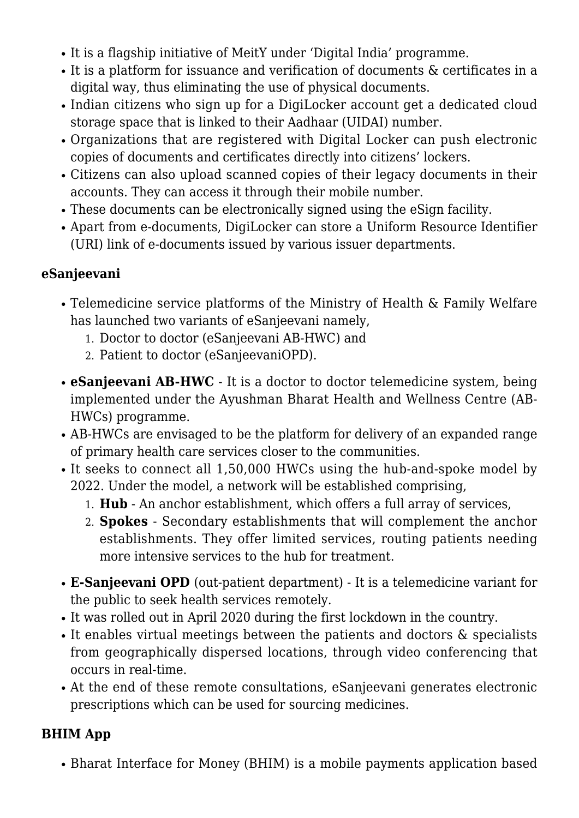- It is a flagship initiative of MeitY under 'Digital India' programme.
- It is a platform for issuance and verification of documents & certificates in a digital way, thus eliminating the use of physical documents.
- Indian citizens who sign up for a DigiLocker account get a dedicated cloud storage space that is linked to their Aadhaar (UIDAI) number.
- Organizations that are registered with Digital Locker can push electronic copies of documents and certificates directly into citizens' lockers.
- Citizens can also upload scanned copies of their legacy documents in their accounts. They can access it through their mobile number.
- These documents can be electronically signed using the eSign facility.
- Apart from e-documents, DigiLocker can store a Uniform Resource Identifier (URI) link of e-documents issued by various issuer departments.

#### **eSanjeevani**

- Telemedicine service platforms of the Ministry of Health & Family Welfare has launched two variants of eSanjeevani namely,
	- 1. Doctor to doctor (eSanjeevani AB-HWC) and
	- 2. Patient to doctor (eSanjeevaniOPD).
- **eSanjeevani AB-HWC** It is a doctor to doctor telemedicine system, being implemented under the Ayushman Bharat Health and Wellness Centre (AB-HWCs) programme.
- AB-HWCs are envisaged to be the platform for delivery of an expanded range of primary health care services closer to the communities.
- It seeks to connect all 1,50,000 HWCs using the hub-and-spoke model by 2022. Under the model, a network will be established comprising,
	- 1. **Hub** An anchor establishment, which offers a full array of services,
	- 2. **Spokes** Secondary establishments that will complement the anchor establishments. They offer limited services, routing patients needing more intensive services to the hub for treatment.
- **E-Sanjeevani OPD** (out-patient department) It is a telemedicine variant for the public to seek health services remotely.
- It was rolled out in April 2020 during the first lockdown in the country.
- $\bullet$  It enables virtual meetings between the patients and doctors  $\&$  specialists from geographically dispersed locations, through video conferencing that occurs in real-time.
- At the end of these remote consultations, eSanjeevani generates electronic prescriptions which can be used for sourcing medicines.

#### **BHIM App**

Bharat Interface for Money (BHIM) is a mobile payments application based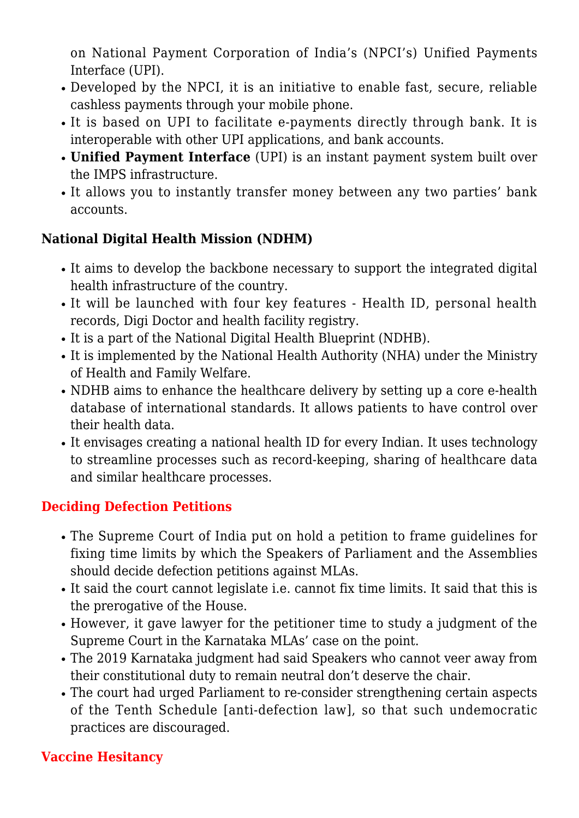on National Payment Corporation of India's (NPCI's) Unified Payments Interface (UPI).

- Developed by the NPCI, it is an initiative to enable fast, secure, reliable cashless payments through your mobile phone.
- It is based on UPI to facilitate e-payments directly through bank. It is interoperable with other UPI applications, and bank accounts.
- **Unified Payment Interface** (UPI) is an instant payment system built over the IMPS infrastructure.
- It allows you to instantly transfer money between any two parties' bank accounts.

#### **National Digital Health Mission (NDHM)**

- It aims to develop the backbone necessary to support the integrated digital health infrastructure of the country.
- It will be launched with four key features Health ID, personal health records, Digi Doctor and health facility registry.
- It is a part of the National Digital Health Blueprint (NDHB).
- It is implemented by the National Health Authority (NHA) under the Ministry of Health and Family Welfare.
- NDHB aims to enhance the healthcare delivery by setting up a core e-health database of international standards. It allows patients to have control over their health data.
- It envisages creating a national health ID for every Indian. It uses technology to streamline processes such as record-keeping, sharing of healthcare data and similar healthcare processes.

#### **Deciding Defection Petitions**

- The Supreme Court of India put on hold a petition to frame guidelines for fixing time limits by which the Speakers of Parliament and the Assemblies should decide defection petitions against MLAs.
- It said the court cannot legislate i.e. cannot fix time limits. It said that this is the prerogative of the House.
- However, it gave lawyer for the petitioner time to study a judgment of the Supreme Court in the Karnataka MLAs' case on the point.
- The 2019 Karnataka judgment had said Speakers who cannot veer away from their constitutional duty to remain neutral don't deserve the chair.
- The court had urged Parliament to re-consider strengthening certain aspects of the Tenth Schedule [anti-defection law], so that such undemocratic practices are discouraged.

#### **Vaccine Hesitancy**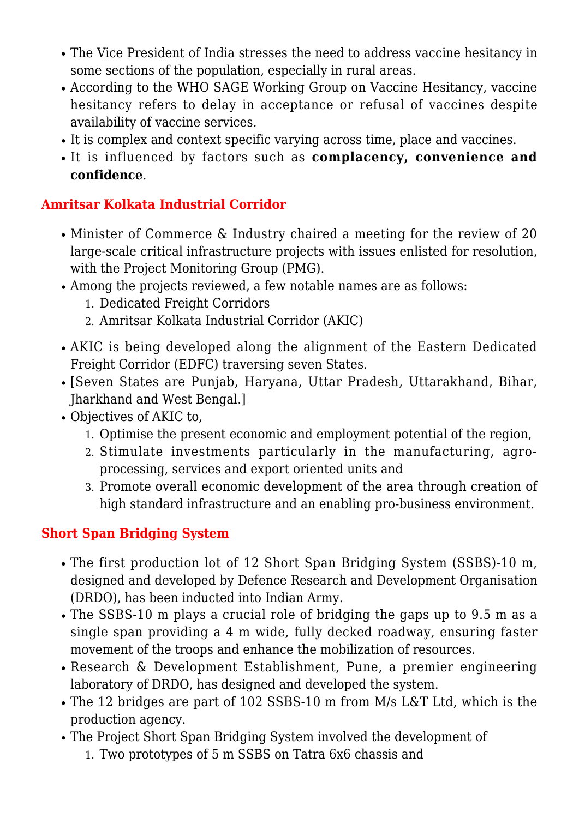- The Vice President of India stresses the need to address vaccine hesitancy in some sections of the population, especially in rural areas.
- According to the WHO SAGE Working Group on Vaccine Hesitancy, vaccine hesitancy refers to delay in acceptance or refusal of vaccines despite availability of vaccine services.
- It is complex and context specific varying across time, place and vaccines.
- It is influenced by factors such as **complacency, convenience and confidence**.

### **Amritsar Kolkata Industrial Corridor**

- Minister of Commerce & Industry chaired a meeting for the review of 20 large-scale critical infrastructure projects with issues enlisted for resolution, with the Project Monitoring Group (PMG).
- Among the projects reviewed, a few notable names are as follows:
	- 1. Dedicated Freight Corridors
	- 2. Amritsar Kolkata Industrial Corridor (AKIC)
- AKIC is being developed along the alignment of the Eastern Dedicated Freight Corridor (EDFC) traversing seven States.
- [Seven States are Punjab, Haryana, Uttar Pradesh, Uttarakhand, Bihar, Jharkhand and West Bengal.]
- Objectives of AKIC to,
	- 1. Optimise the present economic and employment potential of the region,
	- 2. Stimulate investments particularly in the manufacturing, agroprocessing, services and export oriented units and
	- 3. Promote overall economic development of the area through creation of high standard infrastructure and an enabling pro-business environment.

## **Short Span Bridging System**

- The first production lot of 12 Short Span Bridging System (SSBS)-10 m, designed and developed by Defence Research and Development Organisation (DRDO), has been inducted into Indian Army.
- The SSBS-10 m plays a crucial role of bridging the gaps up to 9.5 m as a single span providing a 4 m wide, fully decked roadway, ensuring faster movement of the troops and enhance the mobilization of resources.
- Research & Development Establishment, Pune, a premier engineering laboratory of DRDO, has designed and developed the system.
- The 12 bridges are part of 102 SSBS-10 m from M/s L&T Ltd, which is the production agency.
- The Project Short Span Bridging System involved the development of
	- 1. Two prototypes of 5 m SSBS on Tatra 6x6 chassis and